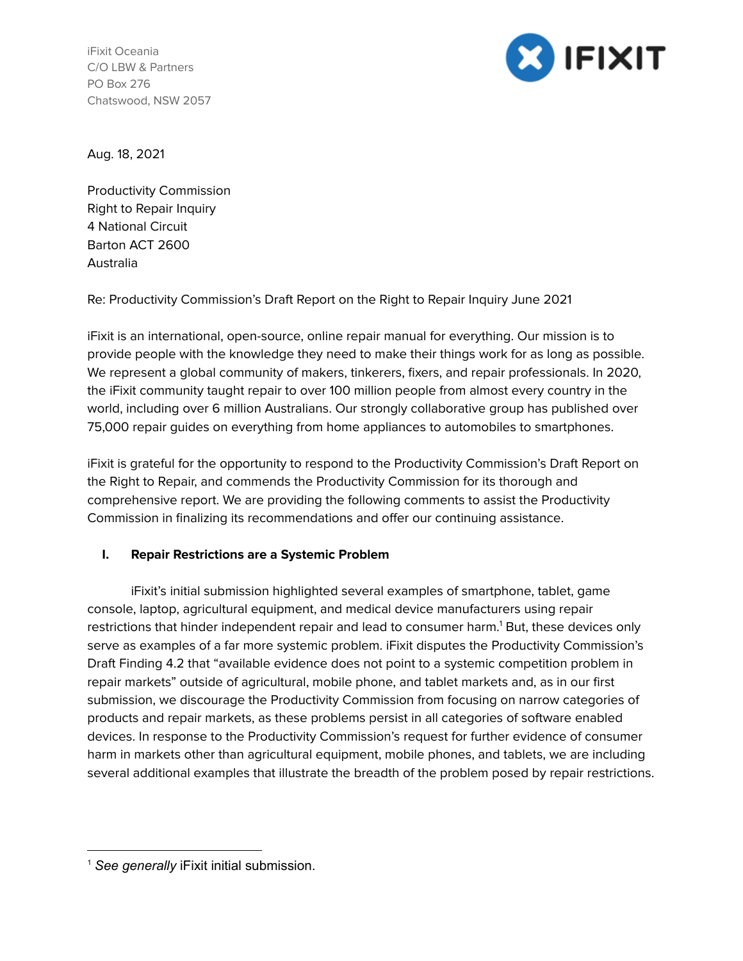iFixit Oceania C/O LBW & Partners PO Box 276 Chatswood, NSW 2057



Aug. 18, 2021

Productivity Commission Right to Repair Inquiry 4 National Circuit Barton ACT 2600 Australia

Re: Productivity Commission's Draft Report on the Right to Repair Inquiry June 2021

iFixit is an international, open-source, online repair manual for everything. Our mission is to provide people with the knowledge they need to make their things work for as long as possible. We represent a global community of makers, tinkerers, fixers, and repair professionals. In 2020, the iFixit community taught repair to over 100 million people from almost every country in the world, including over 6 million Australians. Our strongly collaborative group has published over 75,000 repair guides on everything from home appliances to automobiles to smartphones.

iFixit is grateful for the opportunity to respond to the Productivity Commission's Draft Report on the Right to Repair, and commends the Productivity Commission for its thorough and comprehensive report. We are providing the following comments to assist the Productivity Commission in finalizing its recommendations and offer our continuing assistance.

## **I. Repair Restrictions are a Systemic Problem**

iFixit's initial submission highlighted several examples of smartphone, tablet, game console, laptop, agricultural equipment, and medical device manufacturers using repair restrictions that hinder independent repair and lead to consumer harm.<sup>1</sup> But, these devices only serve as examples of a far more systemic problem. iFixit disputes the Productivity Commission's Draft Finding 4.2 that "available evidence does not point to a systemic competition problem in repair markets" outside of agricultural, mobile phone, and tablet markets and, as in our first submission, we discourage the Productivity Commission from focusing on narrow categories of products and repair markets, as these problems persist in all categories of software enabled devices. In response to the Productivity Commission's request for further evidence of consumer harm in markets other than agricultural equipment, mobile phones, and tablets, we are including several additional examples that illustrate the breadth of the problem posed by repair restrictions.

<sup>1</sup> *See generally* iFixit initial submission.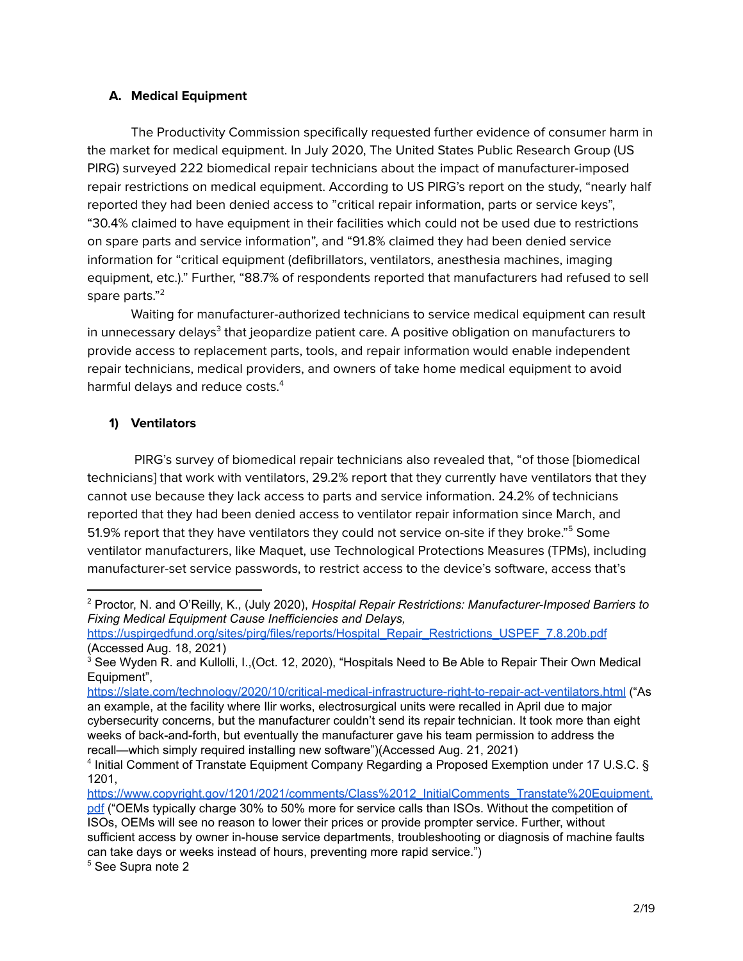#### **A. Medical Equipment**

The Productivity Commission specifically requested further evidence of consumer harm in the market for medical equipment. In July 2020, The United States Public Research Group (US PIRG) surveyed 222 biomedical repair technicians about the impact of manufacturer-imposed repair restrictions on medical equipment. According to US PIRG's report on the study, "nearly half reported they had been denied access to "critical repair information, parts or service keys", "30.4% claimed to have equipment in their facilities which could not be used due to restrictions on spare parts and service information", and "91.8% claimed they had been denied service information for "critical equipment (defibrillators, ventilators, anesthesia machines, imaging equipment, etc.)." Further, "88.7% of respondents reported that manufacturers had refused to sell spare parts." 2

Waiting for manufacturer-authorized technicians to service medical equipment can result in unnecessary delays $^3$  that jeopardize patient care. A positive obligation on manufacturers to provide access to replacement parts, tools, and repair information would enable independent repair technicians, medical providers, and owners of take home medical equipment to avoid harmful delays and reduce costs. 4

#### **1) Ventilators**

PIRG's survey of biomedical repair technicians also revealed that, "of those [biomedical technicians] that work with ventilators, 29.2% report that they currently have ventilators that they cannot use because they lack access to parts and service information. 24.2% of technicians reported that they had been denied access to ventilator repair information since March, and 51.9% report that they have ventilators they could not service on-site if they broke."<sup>5</sup> Some ventilator manufacturers, like Maquet, use Technological Protections Measures (TPMs), including manufacturer-set service passwords, to restrict access to the device's software, access that's

<sup>5</sup> See Supra note 2

<sup>2</sup> Proctor, N. and O'Reilly, K., (July 2020), *Hospital Repair Restrictions: Manufacturer-Imposed Barriers to Fixing Medical Equipment Cause Inefficiencies and Delays,*

[https://uspirgedfund.org/sites/pirg/files/reports/Hospital\\_Repair\\_Restrictions\\_USPEF\\_7.8.20b.pdf](https://uspirgedfund.org/sites/pirg/files/reports/Hospital_Repair_Restrictions_USPEF_7.8.20b.pdf) (Accessed Aug. 18, 2021)

<sup>&</sup>lt;sup>3</sup> See Wyden R. and Kullolli, I., (Oct. 12, 2020), "Hospitals Need to Be Able to Repair Their Own Medical Equipment",

<https://slate.com/technology/2020/10/critical-medical-infrastructure-right-to-repair-act-ventilators.html> ("As an example, at the facility where Ilir works, electrosurgical units were recalled in April due to major cybersecurity concerns, but the manufacturer couldn't send its repair technician. It took more than eight weeks of back-and-forth, but eventually the manufacturer gave his team permission to address the recall—which simply required installing new software")(Accessed Aug. 21, 2021)

<sup>4</sup> Initial Comment of Transtate Equipment Company Regarding a Proposed Exemption under 17 U.S.C. § 1201,

[https://www.copyright.gov/1201/2021/comments/Class%2012\\_InitialComments\\_Transtate%20Equipment.](https://www.copyright.gov/1201/2021/comments/Class%2012_InitialComments_Transtate%20Equipment.pdf) [pdf](https://www.copyright.gov/1201/2021/comments/Class%2012_InitialComments_Transtate%20Equipment.pdf) ("OEMs typically charge 30% to 50% more for service calls than ISOs. Without the competition of ISOs, OEMs will see no reason to lower their prices or provide prompter service. Further, without sufficient access by owner in-house service departments, troubleshooting or diagnosis of machine faults can take days or weeks instead of hours, preventing more rapid service.")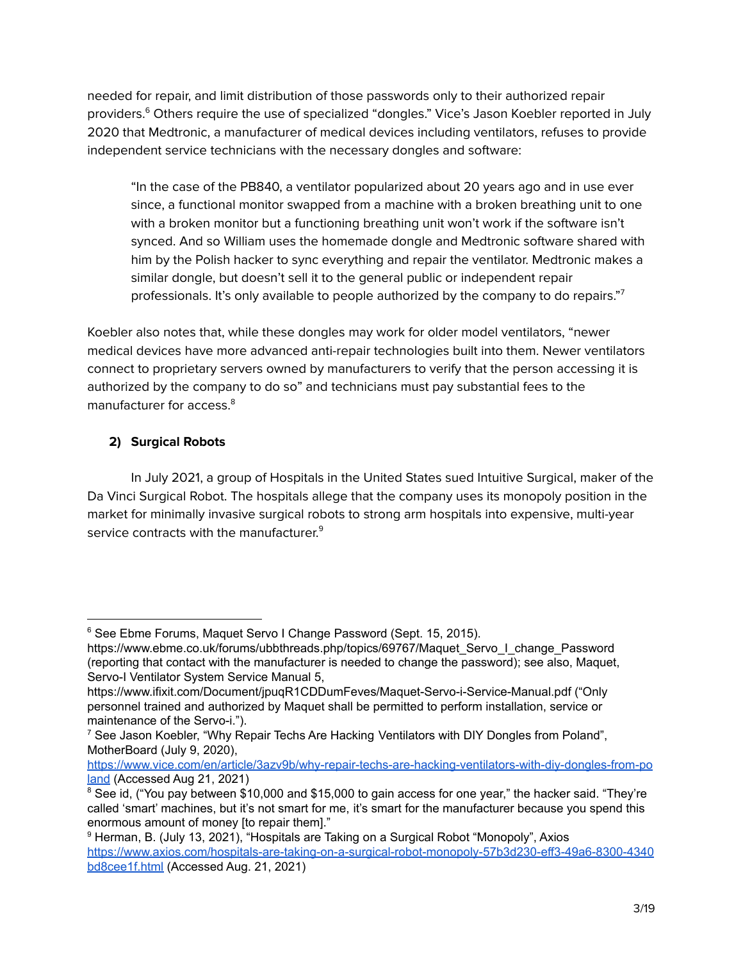needed for repair, and limit distribution of those passwords only to their authorized repair providers.<sup>6</sup> Others require the use of specialized "dongles." Vice's Jason Koebler reported in July 2020 that Medtronic, a manufacturer of medical devices including ventilators, refuses to provide independent service technicians with the necessary dongles and software:

"In the case of the PB840, a ventilator popularized about 20 years ago and in use ever since, a functional monitor swapped from a machine with a broken breathing unit to one with a broken monitor but a functioning breathing unit won't work if the software isn't synced. And so William uses the homemade dongle and Medtronic software shared with him by the Polish hacker to sync everything and repair the ventilator. Medtronic makes a similar dongle, but doesn't sell it to the general public or independent repair professionals. It's only available to people authorized by the company to do repairs."7

Koebler also notes that, while these dongles may work for older model ventilators, "newer medical devices have more advanced anti-repair technologies built into them. Newer ventilators connect to proprietary servers owned by manufacturers to verify that the person accessing it is authorized by the company to do so" and technicians must pay substantial fees to the manufacturer for access. 8

# **2) Surgical Robots**

In July 2021, a group of Hospitals in the United States sued Intuitive Surgical, maker of the Da Vinci Surgical Robot. The hospitals allege that the company uses its monopoly position in the market for minimally invasive surgical robots to strong arm hospitals into expensive, multi-year service contracts with the manufacturer.<sup>9</sup>

<sup>&</sup>lt;sup>6</sup> See Ebme Forums, Maquet Servo I Change Password (Sept. 15, 2015).

https://www.ebme.co.uk/forums/ubbthreads.php/topics/69767/Maquet\_Servo\_I\_change\_Password (reporting that contact with the manufacturer is needed to change the password); see also, Maquet, Servo-I Ventilator System Service Manual 5,

https://www.ifixit.com/Document/jpuqR1CDDumFeves/Maquet-Servo-i-Service-Manual.pdf ("Only personnel trained and authorized by Maquet shall be permitted to perform installation, service or maintenance of the Servo-i.").

<sup>&</sup>lt;sup>7</sup> See Jason Koebler, "Why Repair Techs Are Hacking Ventilators with DIY Dongles from Poland", MotherBoard (July 9, 2020),

[https://www.vice.com/en/article/3azv9b/why-repair-techs-are-hacking-ventilators-with-diy-dongles-from-po](https://www.vice.com/en/article/3azv9b/why-repair-techs-are-hacking-ventilators-with-diy-dongles-from-poland) [land](https://www.vice.com/en/article/3azv9b/why-repair-techs-are-hacking-ventilators-with-diy-dongles-from-poland) (Accessed Aug 21, 2021)

<sup>&</sup>lt;sup>8</sup> See id, ("You pay between \$10,000 and \$15,000 to gain access for one year," the hacker said. "They're called 'smart' machines, but it's not smart for me, it's smart for the manufacturer because you spend this enormous amount of money [to repair them]."

<sup>9</sup> Herman, B. (July 13, 2021), "Hospitals are Taking on a Surgical Robot "Monopoly", Axios [https://www.axios.com/hospitals-are-taking-on-a-surgical-robot-monopoly-57b3d230-eff3-49a6-8300-4340](https://www.axios.com/hospitals-are-taking-on-a-surgical-robot-monopoly-57b3d230-eff3-49a6-8300-4340bd8cee1f.html) [bd8cee1f.html](https://www.axios.com/hospitals-are-taking-on-a-surgical-robot-monopoly-57b3d230-eff3-49a6-8300-4340bd8cee1f.html) (Accessed Aug. 21, 2021)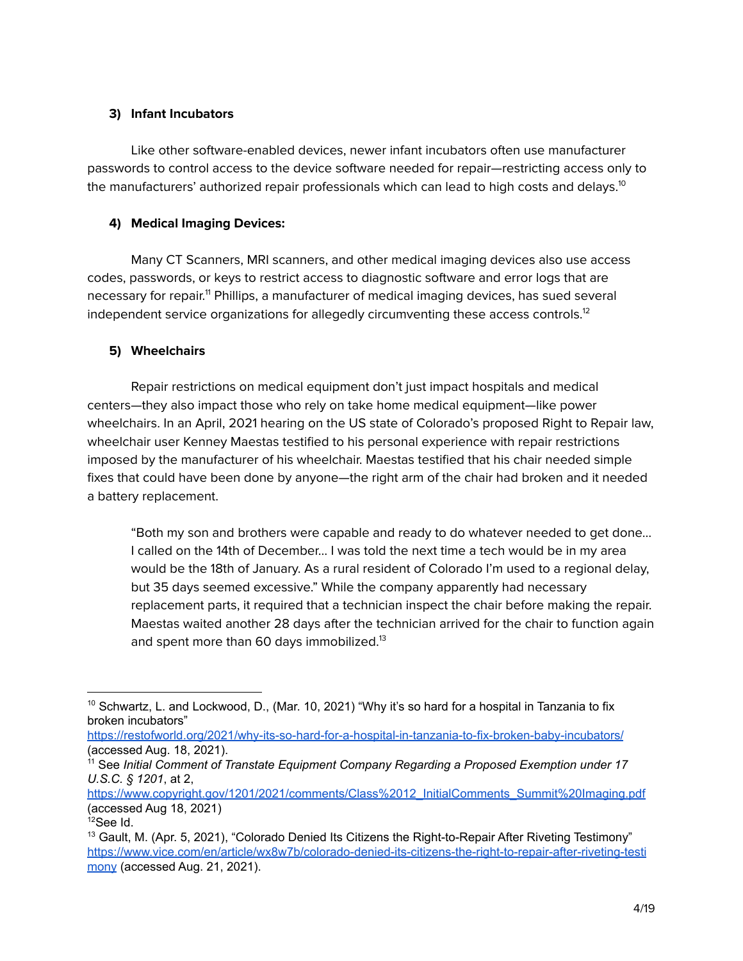## **3) Infant Incubators**

Like other software-enabled devices, newer infant incubators often use manufacturer passwords to control access to the device software needed for repair—restricting access only to the manufacturers' authorized repair professionals which can lead to high costs and delays. $^{\rm 10}$ 

## **4) Medical Imaging Devices:**

Many CT Scanners, MRI scanners, and other medical imaging devices also use access codes, passwords, or keys to restrict access to diagnostic software and error logs that are necessary for repair.<sup>11</sup> Phillips, a manufacturer of medical imaging devices, has sued several independent service organizations for allegedly circumventing these access controls. $^{\rm 12}$ 

## **5) Wheelchairs**

Repair restrictions on medical equipment don't just impact hospitals and medical centers—they also impact those who rely on take home medical equipment—like power wheelchairs. In an April, 2021 hearing on the US state of Colorado's proposed Right to Repair law, wheelchair user Kenney Maestas testified to his personal experience with repair restrictions imposed by the manufacturer of his wheelchair. Maestas testified that his chair needed simple fixes that could have been done by anyone—the right arm of the chair had broken and it needed a battery replacement.

"Both my son and brothers were capable and ready to do whatever needed to get done… I called on the 14th of December… I was told the next time a tech would be in my area would be the 18th of January. As a rural resident of Colorado I'm used to a regional delay, but 35 days seemed excessive." While the company apparently had necessary replacement parts, it required that a technician inspect the chair before making the repair. Maestas waited another 28 days after the technician arrived for the chair to function again and spent more than 60 days immobilized.<sup>13</sup>

 $10$  Schwartz, L. and Lockwood, D., (Mar. 10, 2021) "Why it's so hard for a hospital in Tanzania to fix broken incubators"

<https://restofworld.org/2021/why-its-so-hard-for-a-hospital-in-tanzania-to-fix-broken-baby-incubators/> (accessed Aug. 18, 2021).

<sup>11</sup> See *Initial Comment of Transtate Equipment Company Regarding a Proposed Exemption under 17 U.S.C. § 1201*, at 2,

[https://www.copyright.gov/1201/2021/comments/Class%2012\\_InitialComments\\_Summit%20Imaging.pdf](https://www.copyright.gov/1201/2021/comments/Class%2012_InitialComments_Summit%20Imaging.pdf) (accessed Aug 18, 2021)

 $12$ See Id.

 $13$  Gault, M. (Apr. 5, 2021), "Colorado Denied Its Citizens the Right-to-Repair After Riveting Testimony" [https://www.vice.com/en/article/wx8w7b/colorado-denied-its-citizens-the-right-to-repair-after-riveting-testi](https://www.vice.com/en/article/wx8w7b/colorado-denied-its-citizens-the-right-to-repair-after-riveting-testimony) [mony](https://www.vice.com/en/article/wx8w7b/colorado-denied-its-citizens-the-right-to-repair-after-riveting-testimony) (accessed Aug. 21, 2021).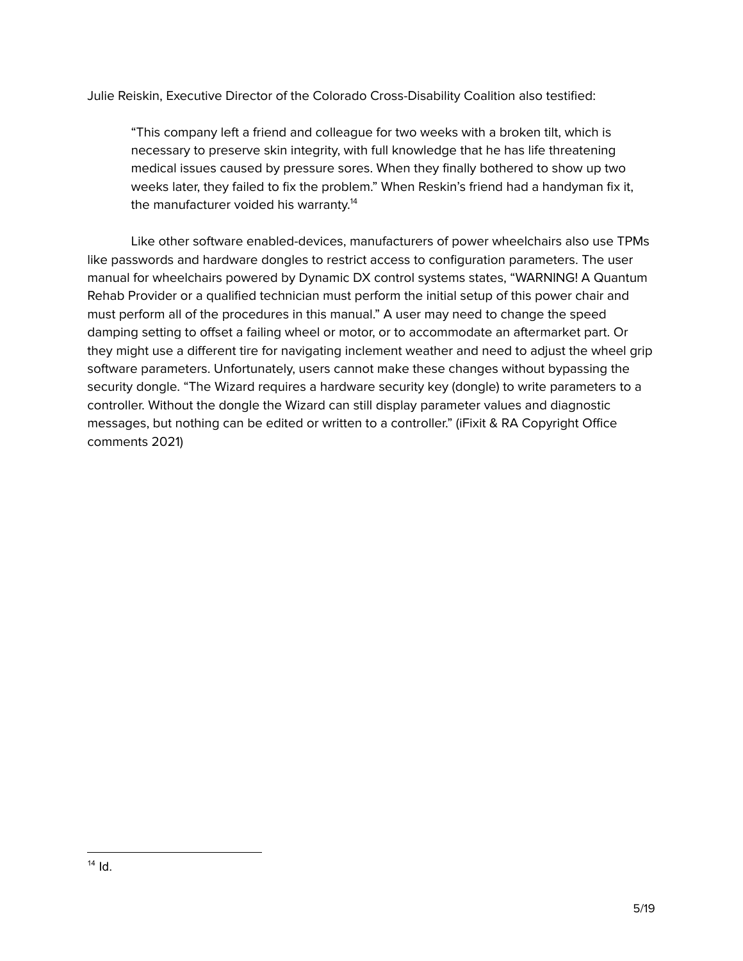Julie Reiskin, Executive Director of the Colorado Cross-Disability Coalition also testified:

"This company left a friend and colleague for two weeks with a broken tilt, which is necessary to preserve skin integrity, with full knowledge that he has life threatening medical issues caused by pressure sores. When they finally bothered to show up two weeks later, they failed to fix the problem." When Reskin's friend had a handyman fix it, the manufacturer voided his warranty. 14

Like other software enabled-devices, manufacturers of power wheelchairs also use TPMs like passwords and hardware dongles to restrict access to configuration parameters. The user manual for wheelchairs powered by Dynamic DX control systems states, "WARNING! A Quantum Rehab Provider or a qualified technician must perform the initial setup of this power chair and must perform all of the procedures in this manual." A user may need to change the speed damping setting to offset a failing wheel or motor, or to accommodate an aftermarket part. Or they might use a different tire for navigating inclement weather and need to adjust the wheel grip software parameters. Unfortunately, users cannot make these changes without bypassing the security dongle. "The Wizard requires a hardware security key (dongle) to write parameters to a controller. Without the dongle the Wizard can still display parameter values and diagnostic messages, but nothing can be edited or written to a controller." (iFixit & RA Copyright Office comments 2021)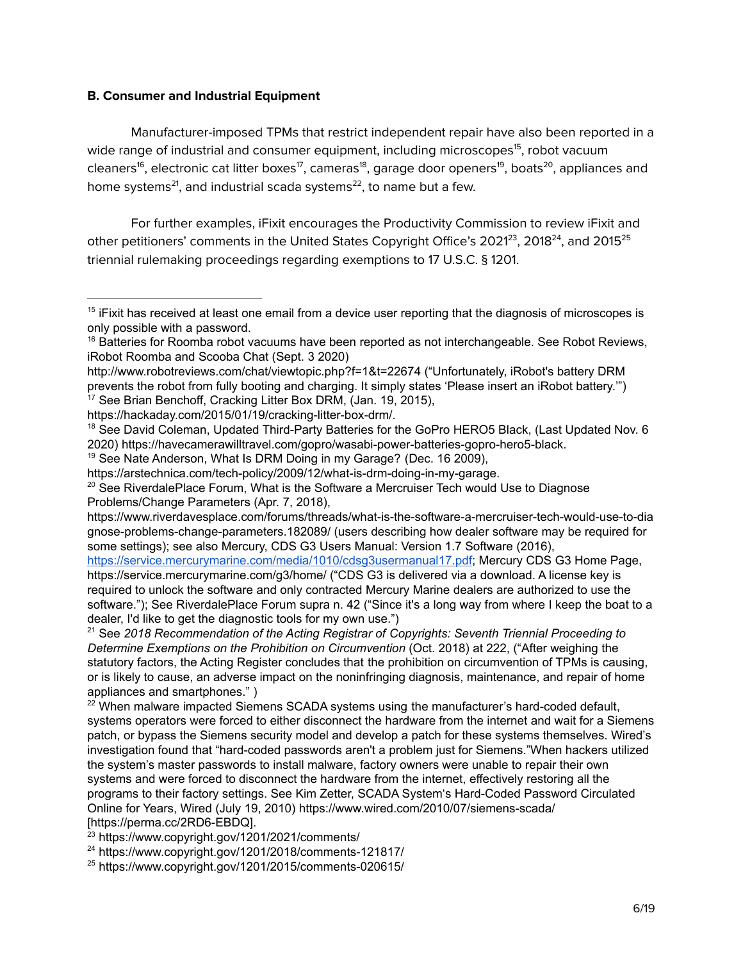#### **B. Consumer and Industrial Equipment**

Manufacturer-imposed TPMs that restrict independent repair have also been reported in a wide range of industrial and consumer equipment, including microscopes 15 , robot vacuum cleaners<sup>16</sup>, electronic cat litter boxes<sup>17</sup>, cameras<sup>18</sup>, garage door openers<sup>19</sup>, boats<sup>20</sup>, appliances and home systems $^{21}$ , and industrial scada systems $^{22}$ , to name but a few.

For further examples, iFixit encourages the Productivity Commission to review iFixit and other petitioners' comments in the United States Copyright Office's 2021<sup>23</sup>, 2018<sup>24</sup>, and 2015<sup>25</sup> triennial rulemaking proceedings regarding exemptions to 17 U.S.C. § 1201.

https://www.riverdavesplace.com/forums/threads/what-is-the-software-a-mercruiser-tech-would-use-to-dia gnose-problems-change-parameters.182089/ (users describing how dealer software may be required for some settings); see also Mercury, CDS G3 Users Manual: Version 1.7 Software (2016),

<https://service.mercurymarine.com/media/1010/cdsg3usermanual17.pdf>; Mercury CDS G3 Home Page, https://service.mercurymarine.com/g3/home/ ("CDS G3 is delivered via a download. A license key is required to unlock the software and only contracted Mercury Marine dealers are authorized to use the software."); See RiverdalePlace Forum supra n. 42 ("Since it's a long way from where I keep the boat to a dealer, I'd like to get the diagnostic tools for my own use.")

<sup>21</sup> See *2018 Recommendation of the Acting Registrar of Copyrights: Seventh Triennial Proceeding to Determine Exemptions on the Prohibition on Circumvention* (Oct. 2018) at 222, ("After weighing the statutory factors, the Acting Register concludes that the prohibition on circumvention of TPMs is causing, or is likely to cause, an adverse impact on the noninfringing diagnosis, maintenance, and repair of home appliances and smartphones." )

 $22$  When malware impacted Siemens SCADA systems using the manufacturer's hard-coded default, systems operators were forced to either disconnect the hardware from the internet and wait for a Siemens patch, or bypass the Siemens security model and develop a patch for these systems themselves. Wired's investigation found that "hard-coded passwords aren't a problem just for Siemens."When hackers utilized the system's master passwords to install malware, factory owners were unable to repair their own systems and were forced to disconnect the hardware from the internet, effectively restoring all the programs to their factory settings. See Kim Zetter, SCADA System's Hard-Coded Password Circulated Online for Years, Wired (July 19, 2010) https://www.wired.com/2010/07/siemens-scada/ [https://perma.cc/2RD6-EBDQ].

<sup>23</sup> https://www.copyright.gov/1201/2021/comments/

<sup>24</sup> https://www.copyright.gov/1201/2018/comments-121817/

<sup>25</sup> https://www.copyright.gov/1201/2015/comments-020615/

<sup>&</sup>lt;sup>15</sup> iFixit has received at least one email from a device user reporting that the diagnosis of microscopes is only possible with a password.

 $16$  Batteries for Roomba robot vacuums have been reported as not interchangeable. See Robot Reviews, iRobot Roomba and Scooba Chat (Sept. 3 2020)

http://www.robotreviews.com/chat/viewtopic.php?f=1&t=22674 ("Unfortunately, iRobot's battery DRM prevents the robot from fully booting and charging. It simply states 'Please insert an iRobot battery.'")

<sup>&</sup>lt;sup>17</sup> See Brian Benchoff, Cracking Litter Box DRM, (Jan. 19, 2015),

https://hackaday.com/2015/01/19/cracking-litter-box-drm/.

<sup>&</sup>lt;sup>18</sup> See David Coleman, Updated Third-Party Batteries for the GoPro HERO5 Black, (Last Updated Nov. 6 2020) https://havecamerawilltravel.com/gopro/wasabi-power-batteries-gopro-hero5-black.

<sup>&</sup>lt;sup>19</sup> See Nate Anderson, What Is DRM Doing in my Garage? (Dec. 16 2009),

https://arstechnica.com/tech-policy/2009/12/what-is-drm-doing-in-my-garage.

 $20$  See RiverdalePlace Forum, What is the Software a Mercruiser Tech would Use to Diagnose Problems/Change Parameters (Apr. 7, 2018),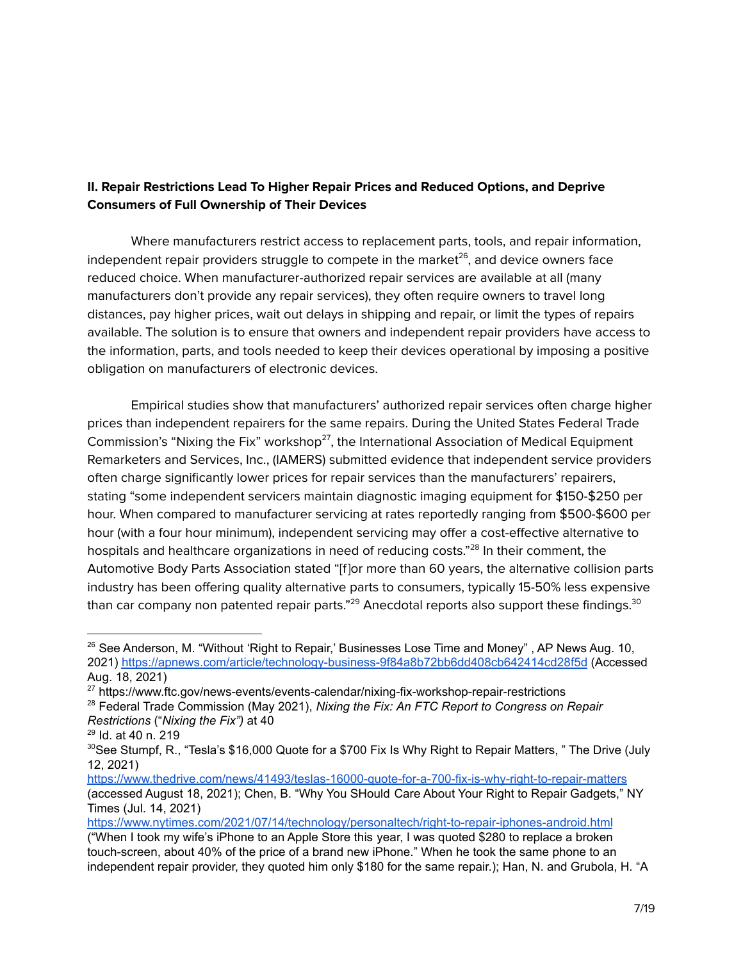## **II. Repair Restrictions Lead To Higher Repair Prices and Reduced Options, and Deprive Consumers of Full Ownership of Their Devices**

Where manufacturers restrict access to replacement parts, tools, and repair information, independent repair providers struggle to compete in the market $^{26}$ , and device owners face reduced choice. When manufacturer-authorized repair services are available at all (many manufacturers don't provide any repair services), they often require owners to travel long distances, pay higher prices, wait out delays in shipping and repair, or limit the types of repairs available. The solution is to ensure that owners and independent repair providers have access to the information, parts, and tools needed to keep their devices operational by imposing a positive obligation on manufacturers of electronic devices.

Empirical studies show that manufacturers' authorized repair services often charge higher prices than independent repairers for the same repairs. During the United States Federal Trade Commission's "Nixing the Fix" workshop<sup>27</sup>, the International Association of Medical Equipment Remarketers and Services, Inc., (IAMERS) submitted evidence that independent service providers often charge significantly lower prices for repair services than the manufacturers' repairers, stating "some independent servicers maintain diagnostic imaging equipment for \$150-\$250 per hour. When compared to manufacturer servicing at rates reportedly ranging from \$500-\$600 per hour (with a four hour minimum), independent servicing may offer a cost-effective alternative to hospitals and healthcare organizations in need of reducing costs."<sup>28</sup> In their comment, the Automotive Body Parts Association stated "[f]or more than 60 years, the alternative collision parts industry has been offering quality alternative parts to consumers, typically 15-50% less expensive than car company non patented repair parts." $^{29}$  Anecdotal reports also support these findings. $^{\rm 30}$ 

<sup>&</sup>lt;sup>26</sup> See Anderson, M. "Without 'Right to Repair,' Businesses Lose Time and Money", AP News Aug. 10, 2021) <https://apnews.com/article/technology-business-9f84a8b72bb6dd408cb642414cd28f5d> (Accessed Aug. 18, 2021)

<sup>&</sup>lt;sup>27</sup> https://www.ftc.gov/news-events/events-calendar/nixing-fix-workshop-repair-restrictions

<sup>28</sup> Federal Trade Commission (May 2021), *Nixing the Fix: An FTC Report to Congress on Repair Restrictions* ("*Nixing the Fix")* at 40

<sup>29</sup> Id. at 40 n. 219

 $30$ See Stumpf, R., "Tesla's \$16,000 Quote for a \$700 Fix Is Why Right to Repair Matters, " The Drive (July 12, 2021)

<https://www.thedrive.com/news/41493/teslas-16000-quote-for-a-700-fix-is-why-right-to-repair-matters> (accessed August 18, 2021); Chen, B. "Why You SHould Care About Your Right to Repair Gadgets," NY Times (Jul. 14, 2021)

<https://www.nytimes.com/2021/07/14/technology/personaltech/right-to-repair-iphones-android.html> ("When I took my wife's iPhone to an Apple Store this year, I was quoted \$280 to replace a broken touch-screen, about 40% of the price of a brand new iPhone." When he took the same phone to an independent repair provider, they quoted him only \$180 for the same repair.); Han, N. and Grubola, H. "A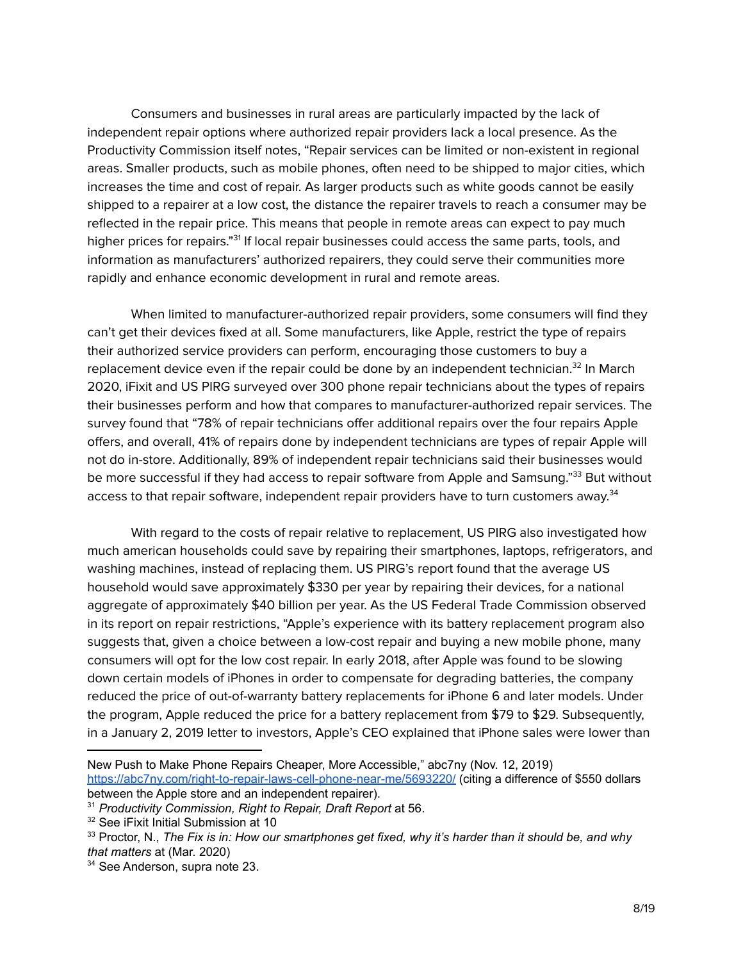Consumers and businesses in rural areas are particularly impacted by the lack of independent repair options where authorized repair providers lack a local presence. As the Productivity Commission itself notes, "Repair services can be limited or non-existent in regional areas. Smaller products, such as mobile phones, often need to be shipped to major cities, which increases the time and cost of repair. As larger products such as white goods cannot be easily shipped to a repairer at a low cost, the distance the repairer travels to reach a consumer may be reflected in the repair price. This means that people in remote areas can expect to pay much higher prices for repairs."<sup>31</sup> If local repair businesses could access the same parts, tools, and information as manufacturers' authorized repairers, they could serve their communities more rapidly and enhance economic development in rural and remote areas.

When limited to manufacturer-authorized repair providers, some consumers will find they can't get their devices fixed at all. Some manufacturers, like Apple, restrict the type of repairs their authorized service providers can perform, encouraging those customers to buy a replacement device even if the repair could be done by an independent technician.<sup>32</sup> In March 2020, iFixit and US PIRG surveyed over 300 phone repair technicians about the types of repairs their businesses perform and how that compares to manufacturer-authorized repair services. The survey found that "78% of repair technicians offer additional repairs over the four repairs Apple offers, and overall, 41% of repairs done by independent technicians are types of repair Apple will not do in-store. Additionally, 89% of independent repair technicians said their businesses would be more successful if they had access to repair software from Apple and Samsung."<sup>33</sup> But without access to that repair software, independent repair providers have to turn customers away.<sup>34</sup>

With regard to the costs of repair relative to replacement, US PIRG also investigated how much american households could save by repairing their smartphones, laptops, refrigerators, and washing machines, instead of replacing them. US PIRG's report found that the average US household would save approximately \$330 per year by repairing their devices, for a national aggregate of approximately \$40 billion per year. As the US Federal Trade Commission observed in its report on repair restrictions, "Apple's experience with its battery replacement program also suggests that, given a choice between a low-cost repair and buying a new mobile phone, many consumers will opt for the low cost repair. In early 2018, after Apple was found to be slowing down certain models of iPhones in order to compensate for degrading batteries, the company reduced the price of out-of-warranty battery replacements for iPhone 6 and later models. Under the program, Apple reduced the price for a battery replacement from \$79 to \$29. Subsequently, in a January 2, 2019 letter to investors, Apple's CEO explained that iPhone sales were lower than

New Push to Make Phone Repairs Cheaper, More Accessible," abc7ny (Nov. 12, 2019) <https://abc7ny.com/right-to-repair-laws-cell-phone-near-me/5693220/> (citing a difference of \$550 dollars between the Apple store and an independent repairer).

<sup>31</sup> *Productivity Commission, Right to Repair, Draft Report* at 56.

<sup>&</sup>lt;sup>32</sup> See iFixit Initial Submission at 10

 $33$  Proctor, N., The Fix is in: How our smartphones get fixed, why it's harder than it should be, and why *that matters* at (Mar. 2020)

<sup>&</sup>lt;sup>34</sup> See Anderson, supra note 23.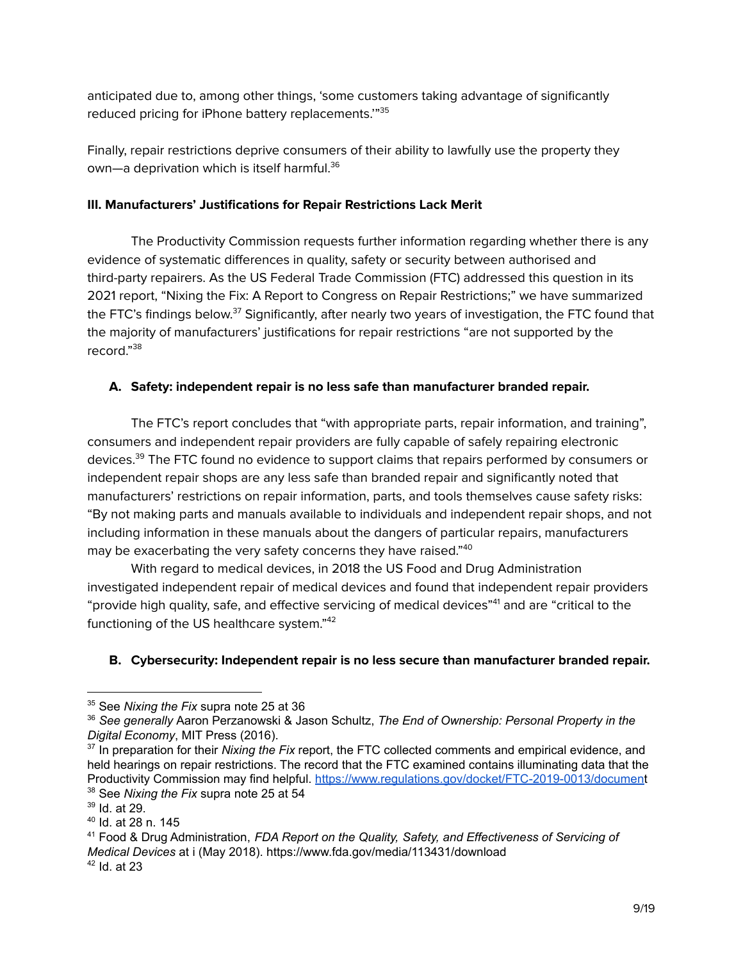anticipated due to, among other things, 'some customers taking advantage of significantly reduced pricing for iPhone battery replacements.'" 35

Finally, repair restrictions deprive consumers of their ability to lawfully use the property they own—a deprivation which is itself harmful. 36

#### **III. Manufacturers' Justifications for Repair Restrictions Lack Merit**

The Productivity Commission requests further information regarding whether there is any evidence of systematic differences in quality, safety or security between authorised and third-party repairers. As the US Federal Trade Commission (FTC) addressed this question in its 2021 report, "Nixing the Fix: A Report to Congress on Repair Restrictions;" we have summarized the FTC's findings below. $^{\rm 37}$  Significantly, after nearly two years of investigation, the FTC found that the majority of manufacturers' justifications for repair restrictions "are not supported by the record." 38

## **A. Safety: independent repair is no less safe than manufacturer branded repair.**

The FTC's report concludes that "with appropriate parts, repair information, and training", consumers and independent repair providers are fully capable of safely repairing electronic devices.<sup>39</sup> The FTC found no evidence to support claims that repairs performed by consumers or independent repair shops are any less safe than branded repair and significantly noted that manufacturers' restrictions on repair information, parts, and tools themselves cause safety risks: "By not making parts and manuals available to individuals and independent repair shops, and not including information in these manuals about the dangers of particular repairs, manufacturers may be exacerbating the very safety concerns they have raised." 40

With regard to medical devices, in 2018 the US Food and Drug Administration investigated independent repair of medical devices and found that independent repair providers "provide high quality, safe, and effective servicing of medical devices"<sup>41</sup> and are "critical to the functioning of the US healthcare system."<sup>42</sup>

## **B. Cybersecurity: Independent repair is no less secure than manufacturer branded repair.**

<sup>35</sup> See *Nixing the Fix* supra note 25 at 36

<sup>36</sup> *See generally* Aaron Perzanowski & Jason Schultz, *The End of Ownership: Personal Property in the Digital Economy*, MIT Press (2016).

<sup>38</sup> See *Nixing the Fix* supra note 25 at 54 <sup>37</sup> In preparation for their *Nixing the Fix* report, the FTC collected comments and empirical evidence, and held hearings on repair restrictions. The record that the FTC examined contains illuminating data that the Productivity Commission may find helpful. <https://www.regulations.gov/docket/FTC-2019-0013/document>

 $39$  Id. at 29.

<sup>40</sup> Id. at 28 n. 145

 $42$  Id. at 23 <sup>41</sup> Food & Drug Administration, *FDA Report on the Quality, Safety, and Effectiveness of Servicing of Medical Devices* at i (May 2018). https://www.fda.gov/media/113431/download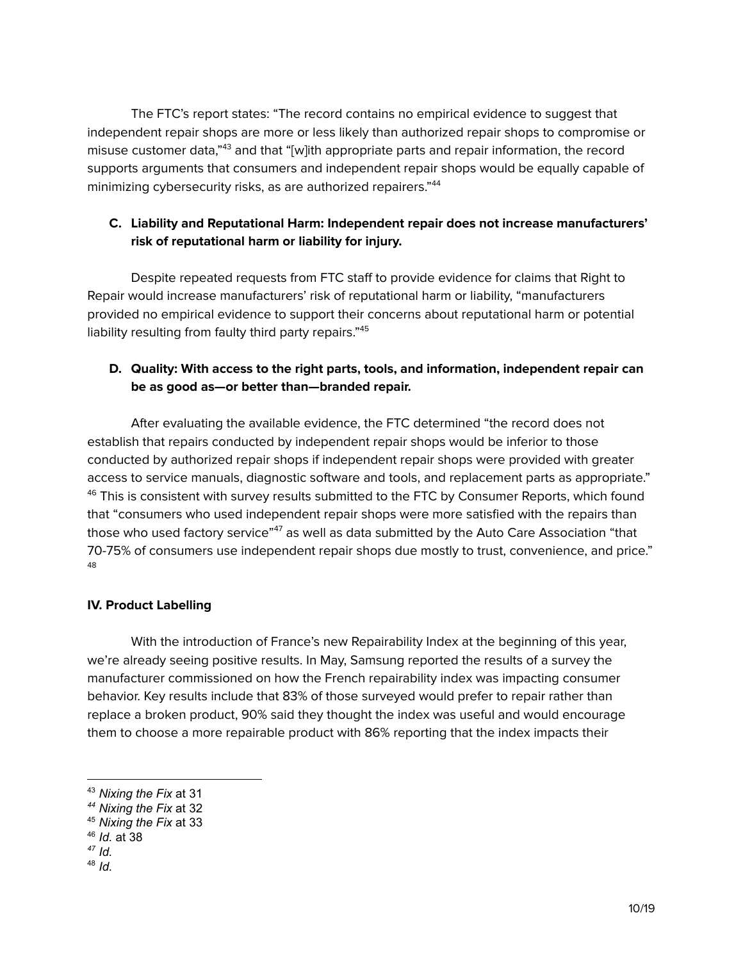The FTC's report states: "The record contains no empirical evidence to suggest that independent repair shops are more or less likely than authorized repair shops to compromise or misuse customer data,"<sup>43</sup> and that "[w]ith appropriate parts and repair information, the record supports arguments that consumers and independent repair shops would be equally capable of minimizing cybersecurity risks, as are authorized repairers." 44

## **C. Liability and Reputational Harm: Independent repair does not increase manufacturers' risk of reputational harm or liability for injury.**

Despite repeated requests from FTC staff to provide evidence for claims that Right to Repair would increase manufacturers' risk of reputational harm or liability, "manufacturers provided no empirical evidence to support their concerns about reputational harm or potential liability resulting from faulty third party repairs." 45

## **D. Quality: With access to the right parts, tools, and information, independent repair can be as good as—or better than—branded repair.**

After evaluating the available evidence, the FTC determined "the record does not establish that repairs conducted by independent repair shops would be inferior to those conducted by authorized repair shops if independent repair shops were provided with greater access to service manuals, diagnostic software and tools, and replacement parts as appropriate."  $46$  This is consistent with survey results submitted to the FTC by Consumer Reports, which found that "consumers who used independent repair shops were more satisfied with the repairs than those who used factory service"<sup>47</sup> as well as data submitted by the Auto Care Association "that 70-75% of consumers use independent repair shops due mostly to trust, convenience, and price." 48

#### **IV. Product Labelling**

With the introduction of France's new Repairability Index at the beginning of this year, we're already seeing positive results. In May, Samsung reported the results of a survey the manufacturer commissioned on how the French repairability index was impacting consumer behavior. Key results include that 83% of those surveyed would prefer to repair rather than replace a broken product, 90% said they thought the index was useful and would encourage them to choose a more repairable product with 86% reporting that the index impacts their

<sup>43</sup> *Nixing the Fix* at 31

*<sup>44</sup> Nixing the Fix* at 32

<sup>45</sup> *Nixing the Fix* at 33

<sup>46</sup> *Id.* at 38

*<sup>47</sup> Id.*

<sup>48</sup> *Id.*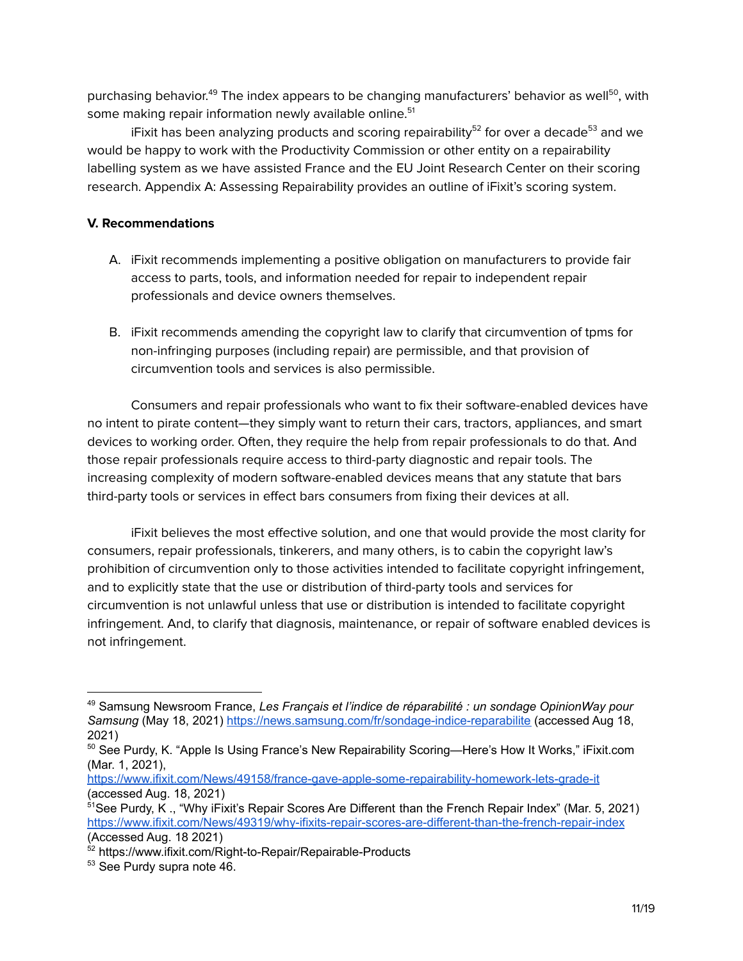purchasing behavior.<sup>49</sup> The index appears to be changing manufacturers' behavior as well<sup>50</sup>, with some making repair information newly available online. 51

iFixit has been analyzing products and scoring repairability<sup>52</sup> for over a decade<sup>53</sup> and we would be happy to work with the Productivity Commission or other entity on a repairability labelling system as we have assisted France and the EU Joint Research Center on their scoring research. Appendix A: Assessing Repairability provides an outline of iFixit's scoring system.

## **V. Recommendations**

- A. iFixit recommends implementing a positive obligation on manufacturers to provide fair access to parts, tools, and information needed for repair to independent repair professionals and device owners themselves.
- B. iFixit recommends amending the copyright law to clarify that circumvention of tpms for non-infringing purposes (including repair) are permissible, and that provision of circumvention tools and services is also permissible.

Consumers and repair professionals who want to fix their software-enabled devices have no intent to pirate content—they simply want to return their cars, tractors, appliances, and smart devices to working order. Often, they require the help from repair professionals to do that. And those repair professionals require access to third-party diagnostic and repair tools. The increasing complexity of modern software-enabled devices means that any statute that bars third-party tools or services in effect bars consumers from fixing their devices at all.

iFixit believes the most effective solution, and one that would provide the most clarity for consumers, repair professionals, tinkerers, and many others, is to cabin the copyright law's prohibition of circumvention only to those activities intended to facilitate copyright infringement, and to explicitly state that the use or distribution of third-party tools and services for circumvention is not unlawful unless that use or distribution is intended to facilitate copyright infringement. And, to clarify that diagnosis, maintenance, or repair of software enabled devices is not infringement.

<sup>49</sup> Samsung Newsroom France, *Les Français et l'indice de réparabilité : un sondage OpinionWay pour Samsung* (May 18, 2021) <https://news.samsung.com/fr/sondage-indice-reparabilite> (accessed Aug 18, 2021)

 $50$  See Purdy, K. "Apple Is Using France's New Repairability Scoring—Here's How It Works," iFixit.com (Mar. 1, 2021),

<https://www.ifixit.com/News/49158/france-gave-apple-some-repairability-homework-lets-grade-it> (accessed Aug. 18, 2021)

<sup>&</sup>lt;sup>51</sup>See Purdy, K., "Why iFixit's Repair Scores Are Different than the French Repair Index" (Mar. 5, 2021) <https://www.ifixit.com/News/49319/why-ifixits-repair-scores-are-different-than-the-french-repair-index> (Accessed Aug. 18 2021)

<sup>&</sup>lt;sup>52</sup> https://www.ifixit.com/Right-to-Repair/Repairable-Products

<sup>53</sup> See Purdy supra note 46.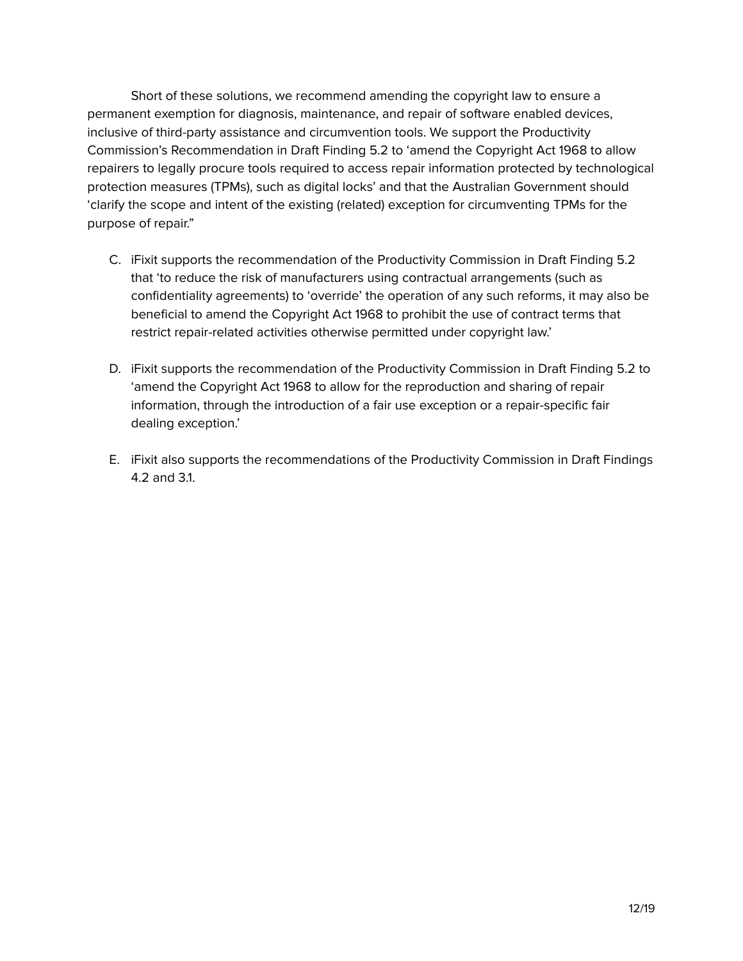Short of these solutions, we recommend amending the copyright law to ensure a permanent exemption for diagnosis, maintenance, and repair of software enabled devices, inclusive of third-party assistance and circumvention tools. We support the Productivity Commission's Recommendation in Draft Finding 5.2 to 'amend the Copyright Act 1968 to allow repairers to legally procure tools required to access repair information protected by technological protection measures (TPMs), such as digital locks' and that the Australian Government should 'clarify the scope and intent of the existing (related) exception for circumventing TPMs for the purpose of repair."

- C. iFixit supports the recommendation of the Productivity Commission in Draft Finding 5.2 that 'to reduce the risk of manufacturers using contractual arrangements (such as confidentiality agreements) to 'override' the operation of any such reforms, it may also be beneficial to amend the Copyright Act 1968 to prohibit the use of contract terms that restrict repair-related activities otherwise permitted under copyright law.'
- D. iFixit supports the recommendation of the Productivity Commission in Draft Finding 5.2 to 'amend the Copyright Act 1968 to allow for the reproduction and sharing of repair information, through the introduction of a fair use exception or a repair-specific fair dealing exception.'
- E. iFixit also supports the recommendations of the Productivity Commission in Draft Findings 4.2 and 3.1.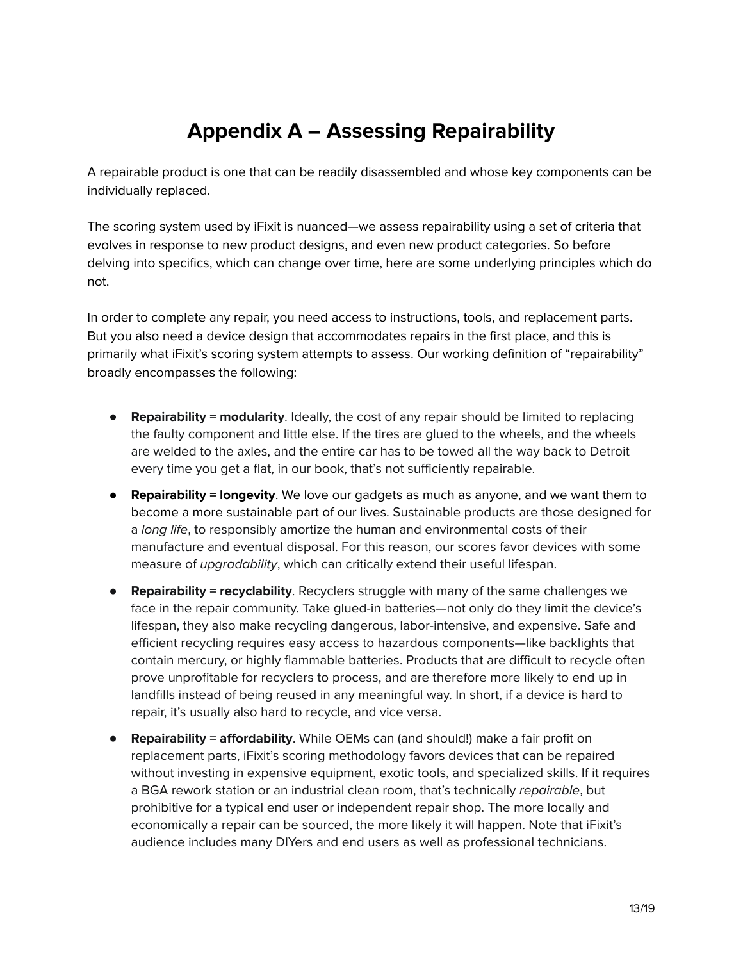# **Appendix A – Assessing Repairability**

A repairable product is one that can be readily disassembled and whose key components can be individually replaced.

The scoring system used by iFixit is nuanced—we assess repairability using a set of criteria that evolves in response to new product designs, and even new product categories. So before delving into specifics, which can change over time, here are some underlying principles which do not.

In order to complete any repair, you need access to instructions, tools, and replacement parts. But you also need a device design that accommodates repairs in the first place, and this is primarily what iFixit's scoring system attempts to assess. Our working definition of "repairability" broadly encompasses the following:

- **Repairability = modularity**. Ideally, the cost of any repair should be limited to replacing the faulty component and little else. If the tires are glued to the wheels, and the wheels are welded to the axles, and the entire car has to be towed all the way back to Detroit every time you get a flat, in our book, that's not sufficiently repairable.
- **Repairability = longevity**. We love our gadgets as much as anyone, and we want them to become a more sustainable part of our lives. Sustainable products are those designed for a long life, to responsibly amortize the human and environmental costs of their manufacture and eventual disposal. For this reason, our scores favor devices with some measure of *upgradability*, which can critically extend their useful lifespan.
- **Repairability = recyclability**. Recyclers struggle with many of the same challenges we face in the repair community. Take glued-in batteries—not only do they limit the device's lifespan, they also make recycling dangerous, labor-intensive, and expensive. Safe and efficient recycling requires easy access to hazardous components—like backlights that contain mercury, or highly flammable batteries. Products that are difficult to recycle often prove unprofitable for recyclers to process, and are therefore more likely to end up in landfills instead of being reused in any meaningful way. In short, if a device is hard to repair, it's usually also hard to recycle, and vice versa.
- **Repairability = affordability**. While OEMs can (and should!) make a fair profit on replacement parts, iFixit's scoring methodology favors devices that can be repaired without investing in expensive equipment, exotic tools, and specialized skills. If it requires a BGA rework station or an industrial clean room, that's technically repairable, but prohibitive for a typical end user or independent repair shop. The more locally and economically a repair can be sourced, the more likely it will happen. Note that iFixit's audience includes many DIYers and end users as well as professional technicians.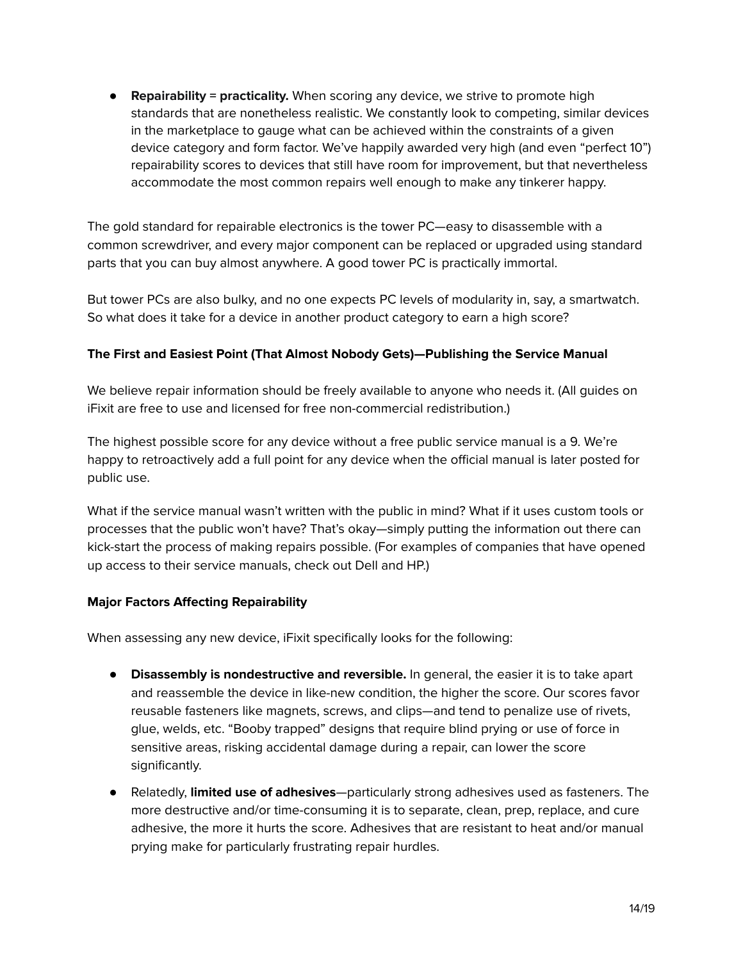● **Repairability = practicality.** When scoring any device, we strive to promote high standards that are nonetheless realistic. We constantly look to competing, similar devices in the marketplace to gauge what can be achieved within the constraints of a given device category and form factor. We've happily awarded very high (and even "perfect 10") repairability scores to devices that still have room for improvement, but that nevertheless accommodate the most common repairs well enough to make any tinkerer happy.

The gold standard for repairable electronics is the tower PC—easy to disassemble with a common screwdriver, and every major component can be replaced or upgraded using standard parts that you can buy almost anywhere. A good tower PC is practically immortal.

But tower PCs are also bulky, and no one expects PC levels of modularity in, say, a smartwatch. So what does it take for a device in another product category to earn a high score?

## **The First and Easiest Point (That Almost Nobody Gets)—Publishing the Service Manual**

We believe repair information should be freely available to anyone who needs it. (All guides on iFixit are free to use and licensed for free non-commercial redistribution.)

The highest possible score for any device without a free public service manual is a 9. We're happy to retroactively add a full point for any device when the official manual is later posted for public use.

What if the service manual wasn't written with the public in mind? What if it uses custom tools or processes that the public won't have? That's okay—simply putting the information out there can kick-start the process of making repairs possible. (For examples of companies that have opened up access to their service manuals, check out Dell and HP.)

## **Major Factors Affecting Repairability**

When assessing any new device, iFixit specifically looks for the following:

- **Disassembly is nondestructive and reversible.** In general, the easier it is to take apart and reassemble the device in like-new condition, the higher the score. Our scores favor reusable fasteners like magnets, screws, and clips—and tend to penalize use of rivets, glue, welds, etc. "Booby trapped" designs that require blind prying or use of force in sensitive areas, risking accidental damage during a repair, can lower the score significantly.
- Relatedly, **limited use of adhesives**—particularly strong adhesives used as fasteners. The more destructive and/or time-consuming it is to separate, clean, prep, replace, and cure adhesive, the more it hurts the score. Adhesives that are resistant to heat and/or manual prying make for particularly frustrating repair hurdles.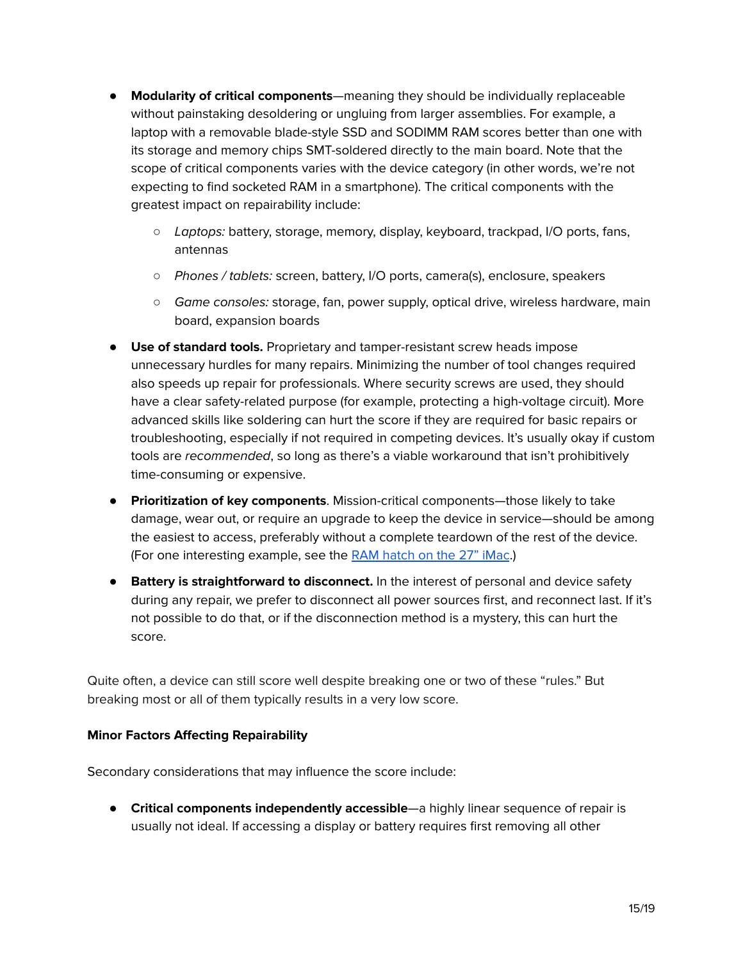- **Modularity of critical components**—meaning they should be individually replaceable without painstaking desoldering or ungluing from larger assemblies. For example, a laptop with a removable blade-style SSD and SODIMM RAM scores better than one with its storage and memory chips SMT-soldered directly to the main board. Note that the scope of critical components varies with the device category (in other words, we're not expecting to find socketed RAM in a smartphone). The critical components with the greatest impact on repairability include:
	- Laptops: battery, storage, memory, display, keyboard, trackpad, I/O ports, fans, antennas
	- Phones / tablets: screen, battery, I/O ports, camera(s), enclosure, speakers
	- Game consoles: storage, fan, power supply, optical drive, wireless hardware, main board, expansion boards
- **Use of standard tools.** Proprietary and tamper-resistant screw heads impose unnecessary hurdles for many repairs. Minimizing the number of tool changes required also speeds up repair for professionals. Where security screws are used, they should have a clear safety-related purpose (for example, protecting a high-voltage circuit). More advanced skills like soldering can hurt the score if they are required for basic repairs or troubleshooting, especially if not required in competing devices. It's usually okay if custom tools are recommended, so long as there's a viable workaround that isn't prohibitively time-consuming or expensive.
- **Prioritization of key components**. Mission-critical components—those likely to take damage, wear out, or require an upgrade to keep the device in service—should be among the easiest to access, preferably without a complete teardown of the rest of the device. (For one interesting example, see the RAM [hatch](https://www.ifixit.com/Guide/iMac+Intel+27-Inch+Retina+5K+Display+RAM+Replacement/30533#s49660) on the 27" iMac.)
- **Battery is straightforward to disconnect.** In the interest of personal and device safety during any repair, we prefer to disconnect all power sources first, and reconnect last. If it's not possible to do that, or if the disconnection method is a mystery, this can hurt the score.

Quite often, a device can still score well despite breaking one or two of these "rules." But breaking most or all of them typically results in a very low score.

#### **Minor Factors Affecting Repairability**

Secondary considerations that may influence the score include:

● **Critical components independently accessible**—a highly linear sequence of repair is usually not ideal. If accessing a display or battery requires first removing all other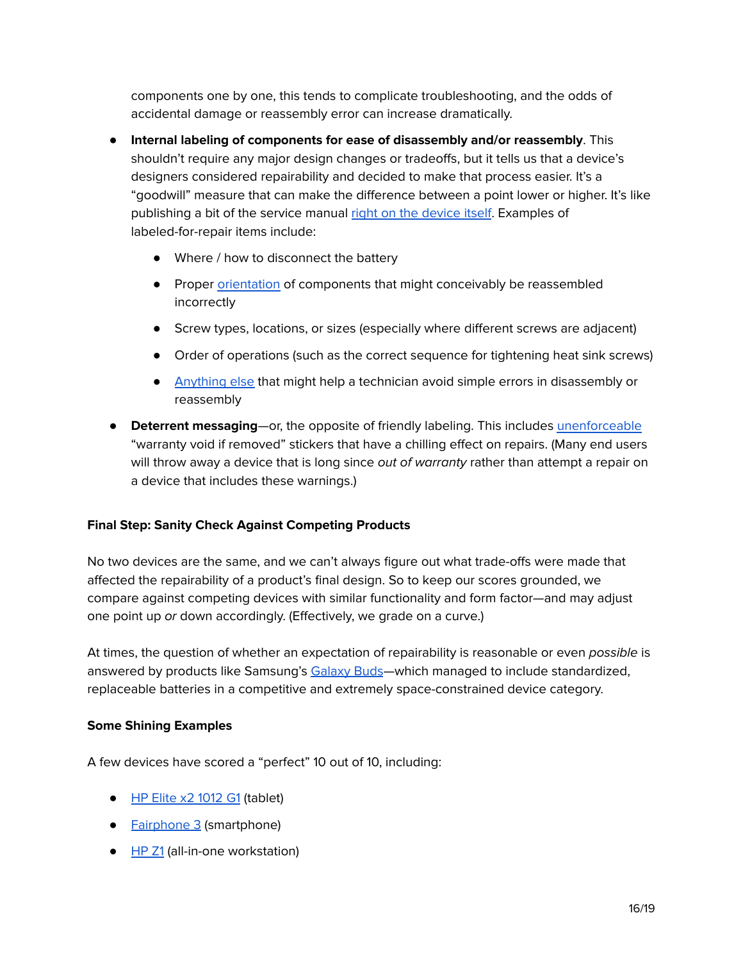components one by one, this tends to complicate troubleshooting, and the odds of accidental damage or reassembly error can increase dramatically.

- **Internal labeling of components for ease of disassembly and/or reassembly**. This shouldn't require any major design changes or tradeoffs, but it tells us that a device's designers considered repairability and decided to make that process easier. It's a "goodwill" measure that can make the difference between a point lower or higher. It's like publishing a bit of the service manual right on the [device](https://d3nevzfk7ii3be.cloudfront.net/igi/CfwTWwAhsFap1gCp.huge) itself. Examples of labeled-for-repair items include:
	- Where / how to disconnect the battery
	- Proper [orientation](https://www.ifixit.com/Teardown/Asus+Chromebook+C202+Teardown/57992#s124119) of components that might conceivably be reassembled incorrectly
	- Screw types, locations, or sizes (especially where different screws are adjacent)
	- Order of operations (such as the correct sequence for tightening heat sink screws)
	- [Anything](https://www.ifixit.com/Teardown/iMac+Intel+27-Inch+Retina+5K+Display+Teardown/30260#s70939) else that might help a technician avoid simple errors in disassembly or reassembly
- **Deterrent messaging**—or, the opposite of friendly labeling. This includes [unenforceable](https://www.ftc.gov/news-events/press-releases/2018/04/ftc-staff-warns-companies-it-illegal-condition-warranty-coverage) "warranty void if removed" stickers that have a chilling effect on repairs. (Many end users will throw away a device that is long since *out of warranty* rather than attempt a repair on a device that includes these warnings.)

#### **Final Step: Sanity Check Against Competing Products**

No two devices are the same, and we can't always figure out what trade-offs were made that affected the repairability of a product's final design. So to keep our scores grounded, we compare against competing devices with similar functionality and form factor—and may adjust one point up or down accordingly. (Effectively, we grade on a curve.)

At times, the question of whether an expectation of repairability is reasonable or even possible is answered by products like Samsung's [Galaxy](https://www.ifixit.com/Teardown/Samsung+Galaxy+Buds+Teardown/120693) Buds—which managed to include standardized, replaceable batteries in a competitive and extremely space-constrained device category.

#### **Some Shining Examples**

A few devices have scored a "perfect" 10 out of 10, including:

- HP Elite x2 [1012](https://ifixit.org/blog/8135/hats-off-to-hps-repairable-tablet/) G1 (tablet)
- **[Fairphone](https://www.ifixit.com/Teardown/Fairphone+3+Teardown/125573) 3** (smartphone)
- [HP](https://www.ifixit.com/Teardown/HP+Z1+Teardown/8840) Z1 (all-in-one workstation)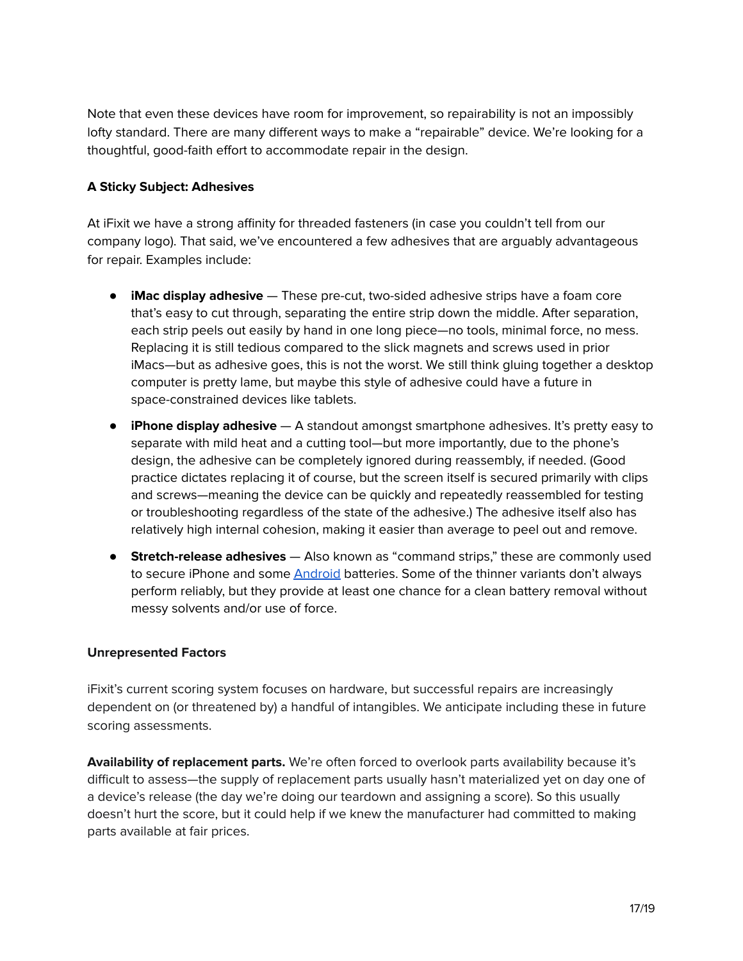Note that even these devices have room for improvement, so repairability is not an impossibly lofty standard. There are many different ways to make a "repairable" device. We're looking for a thoughtful, good-faith effort to accommodate repair in the design.

#### **A Sticky Subject: Adhesives**

At iFixit we have a strong affinity for threaded fasteners (in case you couldn't tell from our company logo). That said, we've encountered a few adhesives that are arguably advantageous for repair. Examples include:

- **iMac display adhesive** These pre-cut, two-sided adhesive strips have a foam core that's easy to cut through, separating the entire strip down the middle. After separation, each strip peels out easily by hand in one long piece—no tools, minimal force, no mess. Replacing it is still tedious compared to the slick magnets and screws used in prior iMacs—but as adhesive goes, this is not the worst. We still think gluing together a desktop computer is pretty lame, but maybe this style of adhesive could have a future in space-constrained devices like tablets.
- **iPhone display adhesive** A standout amongst smartphone adhesives. It's pretty easy to separate with mild heat and a cutting tool—but more importantly, due to the phone's design, the adhesive can be completely ignored during reassembly, if needed. (Good practice dictates replacing it of course, but the screen itself is secured primarily with clips and screws—meaning the device can be quickly and repeatedly reassembled for testing or troubleshooting regardless of the state of the adhesive.) The adhesive itself also has relatively high internal cohesion, making it easier than average to peel out and remove.
- **Stretch-release adhesives** Also known as "command strips," these are commonly used to secure iPhone and some **[Android](https://d3nevzfk7ii3be.cloudfront.net/igi/aVZhdLOoV6JcVbXI.huge)** batteries. Some of the thinner variants don't always perform reliably, but they provide at least one chance for a clean battery removal without messy solvents and/or use of force.

#### **Unrepresented Factors**

iFixit's current scoring system focuses on hardware, but successful repairs are increasingly dependent on (or threatened by) a handful of intangibles. We anticipate including these in future scoring assessments.

**Availability of replacement parts.** We're often forced to overlook parts availability because it's difficult to assess—the supply of replacement parts usually hasn't materialized yet on day one of a device's release (the day we're doing our teardown and assigning a score). So this usually doesn't hurt the score, but it could help if we knew the manufacturer had committed to making parts available at fair prices.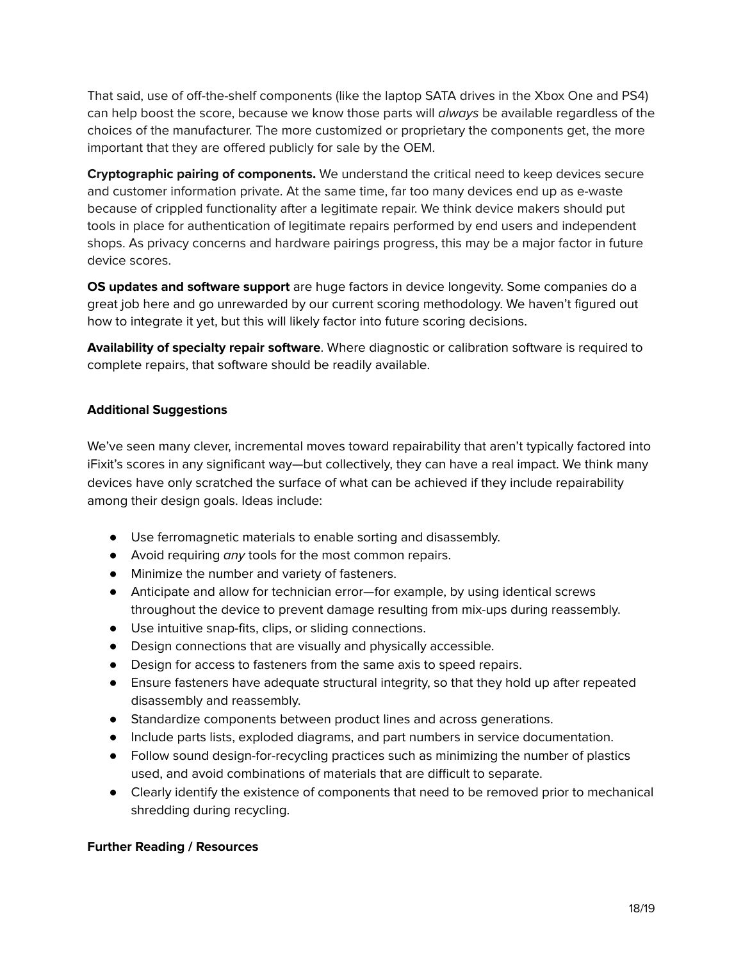That said, use of off-the-shelf components (like the laptop SATA drives in the Xbox One and PS4) can help boost the score, because we know those parts will always be available regardless of the choices of the manufacturer. The more customized or proprietary the components get, the more important that they are offered publicly for sale by the OEM.

**Cryptographic pairing of components.** We understand the critical need to keep devices secure and customer information private. At the same time, far too many devices end up as e-waste because of crippled functionality after a legitimate repair. We think device makers should put tools in place for authentication of legitimate repairs performed by end users and independent shops. As privacy concerns and hardware pairings progress, this may be a major factor in future device scores.

**OS updates and software support** are huge factors in device longevity. Some companies do a great job here and go unrewarded by our current scoring methodology. We haven't figured out how to integrate it yet, but this will likely factor into future scoring decisions.

**Availability of specialty repair software**. Where diagnostic or calibration software is required to complete repairs, that software should be readily available.

## **Additional Suggestions**

We've seen many clever, incremental moves toward repairability that aren't typically factored into iFixit's scores in any significant way—but collectively, they can have a real impact. We think many devices have only scratched the surface of what can be achieved if they include repairability among their design goals. Ideas include:

- Use ferromagnetic materials to enable sorting and disassembly.
- Avoid requiring any tools for the most common repairs.
- Minimize the number and variety of fasteners.
- Anticipate and allow for technician error—for example, by using identical screws throughout the device to prevent damage resulting from mix-ups during reassembly.
- Use intuitive snap-fits, clips, or sliding connections.
- Design connections that are visually and physically accessible.
- Design for access to fasteners from the same axis to speed repairs.
- Ensure fasteners have adequate structural integrity, so that they hold up after repeated disassembly and reassembly.
- Standardize components between product lines and across generations.
- Include parts lists, exploded diagrams, and part numbers in service documentation.
- Follow sound design-for-recycling practices such as minimizing the number of plastics used, and avoid combinations of materials that are difficult to separate.
- Clearly identify the existence of components that need to be removed prior to mechanical shredding during recycling.

#### **Further Reading / Resources**